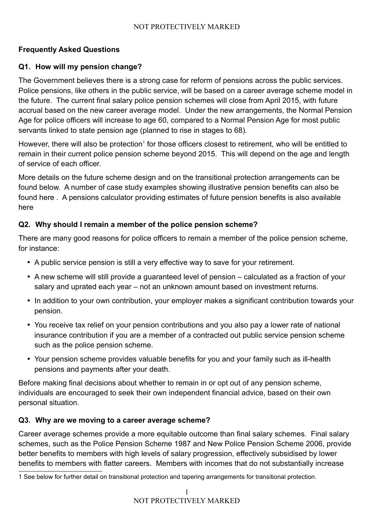# **Frequently Asked Questions**

#### **Q1. How will my pension change?**

The Government believes there is a strong case for reform of pensions across the public services. Police pensions, like others in the public service, will be based on a career average scheme model in the future. The current final salary police pension schemes will close from April 2015, with future accrual based on the new career average model. Under the new arrangements, the Normal Pension Age for police officers will increase to age 60, compared to a Normal Pension Age for most public servants linked to state pension age (planned to rise in stages to 68).

However, there will also be protection<sup>[1](#page-0-0)</sup> for those officers closest to retirement, who will be entitled to remain in their current police pension scheme beyond 2015. This will depend on the age and length of service of each officer.

More details on the future scheme design and on the transitional protection arrangements can be found below. A number of case study examples showing illustrative pension benefits can also be found here . A pensions calculator providing estimates of future pension benefits is also available here

#### **Q2. Why should I remain a member of the police pension scheme?**

There are many good reasons for police officers to remain a member of the police pension scheme, for instance:

- A public service pension is still a very effective way to save for your retirement.
- A new scheme will still provide a guaranteed level of pension calculated as a fraction of your salary and uprated each year – not an unknown amount based on investment returns.
- In addition to your own contribution, your employer makes a significant contribution towards your pension.
- You receive tax relief on your pension contributions and you also pay a lower rate of national insurance contribution if you are a member of a contracted out public service pension scheme such as the police pension scheme.
- Your pension scheme provides valuable benefits for you and your family such as ill-health pensions and payments after your death.

Before making final decisions about whether to remain in or opt out of any pension scheme, individuals are encouraged to seek their own independent financial advice, based on their own personal situation.

#### **Q3. Why are we moving to a career average scheme?**

Career average schemes provide a more equitable outcome than final salary schemes. Final salary schemes, such as the Police Pension Scheme 1987 and New Police Pension Scheme 2006, provide better benefits to members with high levels of salary progression, effectively subsidised by lower benefits to members with flatter careers. Members with incomes that do not substantially increase

<span id="page-0-0"></span><sup>1</sup> See below for further detail on transitional protection and tapering arrangements for transitional protection.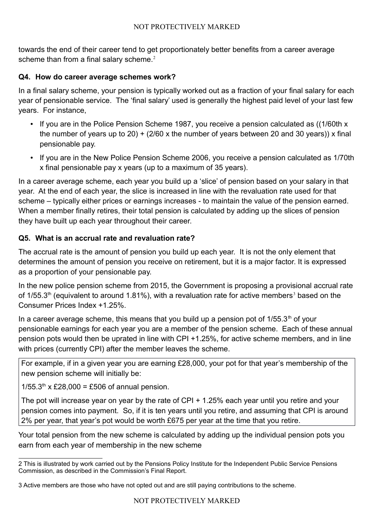towards the end of their career tend to get proportionately better benefits from a career average scheme than from a final salary scheme. $2$ 

#### **Q4. How do career average schemes work?**

In a final salary scheme, your pension is typically worked out as a fraction of your final salary for each year of pensionable service. The 'final salary' used is generally the highest paid level of your last few years. For instance,

- If you are in the Police Pension Scheme 1987, you receive a pension calculated as ((1/60th x the number of years up to 20)  $+$  (2/60 x the number of years between 20 and 30 years)) x final pensionable pay.
- If you are in the New Police Pension Scheme 2006, you receive a pension calculated as 1/70th x final pensionable pay x years (up to a maximum of 35 years).

In a career average scheme, each year you build up a 'slice' of pension based on your salary in that year. At the end of each year, the slice is increased in line with the revaluation rate used for that scheme – typically either prices or earnings increases - to maintain the value of the pension earned. When a member finally retires, their total pension is calculated by adding up the slices of pension they have built up each year throughout their career.

# **Q5. What is an accrual rate and revaluation rate?**

The accrual rate is the amount of pension you build up each year. It is not the only element that determines the amount of pension you receive on retirement, but it is a major factor. It is expressed as a proportion of your pensionable pay.

In the new police pension scheme from 2015, the Government is proposing a provisional accrual rate of 1/55.[3](#page-1-1)<sup>th</sup> (equivalent to around 1.81%), with a revaluation rate for active members<sup>3</sup> based on the Consumer Prices Index +1.25%.

In a career average scheme, this means that you build up a pension pot of  $1/55.3<sup>th</sup>$  of your pensionable earnings for each year you are a member of the pension scheme. Each of these annual pension pots would then be uprated in line with CPI +1.25%, for active scheme members, and in line with prices (currently CPI) after the member leaves the scheme.

For example, if in a given year you are earning £28,000, your pot for that year's membership of the new pension scheme will initially be:

 $1/55.3$ <sup>th</sup> x £28,000 = £506 of annual pension.

The pot will increase year on year by the rate of CPI + 1.25% each year until you retire and your pension comes into payment. So, if it is ten years until you retire, and assuming that CPI is around 2% per year, that year's pot would be worth £675 per year at the time that you retire.

Your total pension from the new scheme is calculated by adding up the individual pension pots you earn from each year of membership in the new scheme

<span id="page-1-0"></span><sup>2</sup> This is illustrated by work carried out by the Pensions Policy Institute for the Independent Public Service Pensions Commission, as described in the Commission's Final Report.

<span id="page-1-1"></span><sup>3</sup> Active members are those who have not opted out and are still paying contributions to the scheme.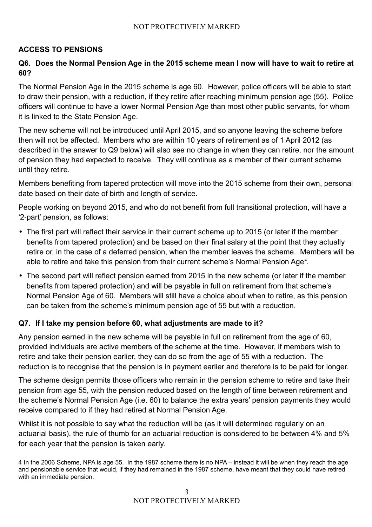#### **ACCESS TO PENSIONS**

## **Q6. Does the Normal Pension Age in the 2015 scheme mean I now will have to wait to retire at 60?**

The Normal Pension Age in the 2015 scheme is age 60. However, police officers will be able to start to draw their pension, with a reduction, if they retire after reaching minimum pension age (55). Police officers will continue to have a lower Normal Pension Age than most other public servants, for whom it is linked to the State Pension Age.

The new scheme will not be introduced until April 2015, and so anyone leaving the scheme before then will not be affected. Members who are within 10 years of retirement as of 1 April 2012 (as described in the answer to Q9 below) will also see no change in when they can retire, nor the amount of pension they had expected to receive. They will continue as a member of their current scheme until they retire.

Members benefiting from tapered protection will move into the 2015 scheme from their own, personal date based on their date of birth and length of service.

People working on beyond 2015, and who do not benefit from full transitional protection, will have a '2‐part' pension, as follows:

- The first part will reflect their service in their current scheme up to 2015 (or later if the member benefits from tapered protection) and be based on their final salary at the point that they actually retire or, in the case of a deferred pension, when the member leaves the scheme. Members will be able to retire and take this pension from their current scheme's Normal Pension Age<sup>[4](#page-2-0)</sup>.
- The second part will reflect pension earned from 2015 in the new scheme (or later if the member benefits from tapered protection) and will be payable in full on retirement from that scheme's Normal Pension Age of 60. Members will still have a choice about when to retire, as this pension can be taken from the scheme's minimum pension age of 55 but with a reduction.

#### **Q7. If I take my pension before 60, what adjustments are made to it?**

Any pension earned in the new scheme will be payable in full on retirement from the age of 60, provided individuals are active members of the scheme at the time. However, if members wish to retire and take their pension earlier, they can do so from the age of 55 with a reduction. The reduction is to recognise that the pension is in payment earlier and therefore is to be paid for longer.

The scheme design permits those officers who remain in the pension scheme to retire and take their pension from age 55, with the pension reduced based on the length of time between retirement and the scheme's Normal Pension Age (i.e. 60) to balance the extra years' pension payments they would receive compared to if they had retired at Normal Pension Age.

Whilst it is not possible to say what the reduction will be (as it will determined regularly on an actuarial basis), the rule of thumb for an actuarial reduction is considered to be between 4% and 5% for each year that the pension is taken early.

<span id="page-2-0"></span><sup>4</sup> In the 2006 Scheme, NPA is age 55. In the 1987 scheme there is no NPA – instead it will be when they reach the age and pensionable service that would, if they had remained in the 1987 scheme, have meant that they could have retired with an immediate pension.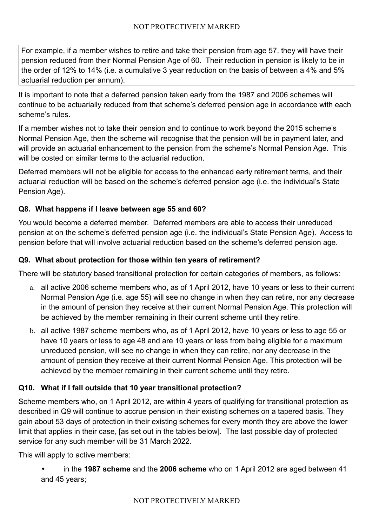For example, if a member wishes to retire and take their pension from age 57, they will have their pension reduced from their Normal Pension Age of 60. Their reduction in pension is likely to be in the order of 12% to 14% (i.e. a cumulative 3 year reduction on the basis of between a 4% and 5% actuarial reduction per annum).

It is important to note that a deferred pension taken early from the 1987 and 2006 schemes will continue to be actuarially reduced from that scheme's deferred pension age in accordance with each scheme's rules.

If a member wishes not to take their pension and to continue to work beyond the 2015 scheme's Normal Pension Age, then the scheme will recognise that the pension will be in payment later, and will provide an actuarial enhancement to the pension from the scheme's Normal Pension Age. This will be costed on similar terms to the actuarial reduction.

Deferred members will not be eligible for access to the enhanced early retirement terms, and their actuarial reduction will be based on the scheme's deferred pension age (i.e. the individual's State Pension Age).

# **Q8. What happens if I leave between age 55 and 60?**

You would become a deferred member. Deferred members are able to access their unreduced pension at on the scheme's deferred pension age (i.e. the individual's State Pension Age). Access to pension before that will involve actuarial reduction based on the scheme's deferred pension age.

#### **Q9. What about protection for those within ten years of retirement?**

There will be statutory based transitional protection for certain categories of members, as follows:

- a. all active 2006 scheme members who, as of 1 April 2012, have 10 years or less to their current Normal Pension Age (i.e. age 55) will see no change in when they can retire, nor any decrease in the amount of pension they receive at their current Normal Pension Age. This protection will be achieved by the member remaining in their current scheme until they retire.
- b. all active 1987 scheme members who, as of 1 April 2012, have 10 years or less to age 55 or have 10 years or less to age 48 and are 10 years or less from being eligible for a maximum unreduced pension, will see no change in when they can retire, nor any decrease in the amount of pension they receive at their current Normal Pension Age. This protection will be achieved by the member remaining in their current scheme until they retire.

# **Q10. What if I fall outside that 10 year transitional protection?**

Scheme members who, on 1 April 2012, are within 4 years of qualifying for transitional protection as described in Q9 will continue to accrue pension in their existing schemes on a tapered basis. They gain about 53 days of protection in their existing schemes for every month they are above the lower limit that applies in their case, [as set out in the tables below]. The last possible day of protected service for any such member will be 31 March 2022.

This will apply to active members:

• in the **1987 scheme** and the **2006 scheme** who on 1 April 2012 are aged between 41 and 45 years;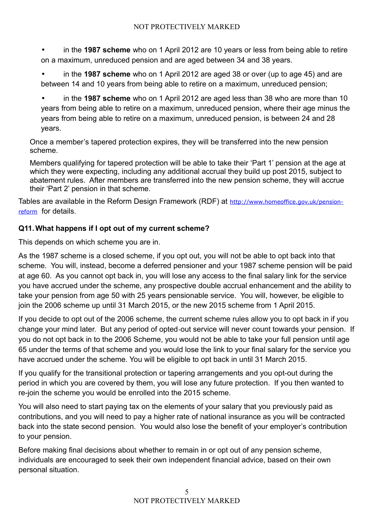• in the **1987 scheme** who on 1 April 2012 are 10 years or less from being able to retire on a maximum, unreduced pension and are aged between 34 and 38 years.

• in the **1987 scheme** who on 1 April 2012 are aged 38 or over (up to age 45) and are between 14 and 10 years from being able to retire on a maximum, unreduced pension;

• in the **1987 scheme** who on 1 April 2012 are aged less than 38 who are more than 10 years from being able to retire on a maximum, unreduced pension, where their age minus the years from being able to retire on a maximum, unreduced pension, is between 24 and 28 years.

Once a member's tapered protection expires, they will be transferred into the new pension scheme.

Members qualifying for tapered protection will be able to take their 'Part 1' pension at the age at which they were expecting, including any additional accrual they build up post 2015, subject to abatement rules. After members are transferred into the new pension scheme, they will accrue their 'Part 2' pension in that scheme.

Tables are available in the Reform Design Framework (RDF) at [http://www.homeoffice.gov.uk/pension](http://www.homeoffice.gov.uk/pension-reform)[reform](http://www.homeoffice.gov.uk/pension-reform) for details.

# **Q11.What happens if I opt out of my current scheme?**

This depends on which scheme you are in.

As the 1987 scheme is a closed scheme, if you opt out, you will not be able to opt back into that scheme. You will, instead, become a deferred pensioner and your 1987 scheme pension will be paid at age 60. As you cannot opt back in, you will lose any access to the final salary link for the service you have accrued under the scheme, any prospective double accrual enhancement and the ability to take your pension from age 50 with 25 years pensionable service. You will, however, be eligible to join the 2006 scheme up until 31 March 2015, or the new 2015 scheme from 1 April 2015.

If you decide to opt out of the 2006 scheme, the current scheme rules allow you to opt back in if you change your mind later. But any period of opted‐out service will never count towards your pension. If you do not opt back in to the 2006 Scheme, you would not be able to take your full pension until age 65 under the terms of that scheme and you would lose the link to your final salary for the service you have accrued under the scheme. You will be eligible to opt back in until 31 March 2015.

If you qualify for the transitional protection or tapering arrangements and you opt-out during the period in which you are covered by them, you will lose any future protection. If you then wanted to re-join the scheme you would be enrolled into the 2015 scheme.

You will also need to start paying tax on the elements of your salary that you previously paid as contributions, and you will need to pay a higher rate of national insurance as you will be contracted back into the state second pension. You would also lose the benefit of your employer's contribution to your pension.

Before making final decisions about whether to remain in or opt out of any pension scheme, individuals are encouraged to seek their own independent financial advice, based on their own personal situation.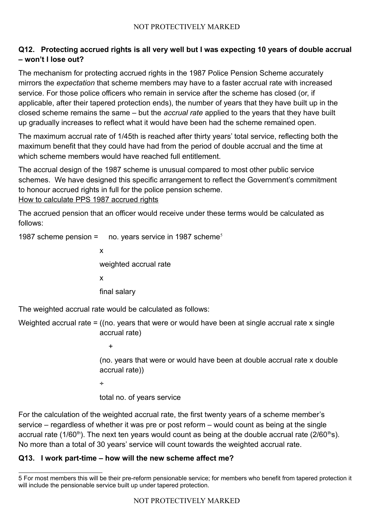## **Q12. Protecting accrued rights is all very well but I was expecting 10 years of double accrual – won't I lose out?**

The mechanism for protecting accrued rights in the 1987 Police Pension Scheme accurately mirrors the *expectation* that scheme members may have to a faster accrual rate with increased service. For those police officers who remain in service after the scheme has closed (or, if applicable, after their tapered protection ends), the number of years that they have built up in the closed scheme remains the same – but the *accrual rate* applied to the years that they have built up gradually increases to reflect what it would have been had the scheme remained open.

The maximum accrual rate of 1/45th is reached after thirty years' total service, reflecting both the maximum benefit that they could have had from the period of double accrual and the time at which scheme members would have reached full entitlement.

The accrual design of the 1987 scheme is unusual compared to most other public service schemes. We have designed this specific arrangement to reflect the Government's commitment to honour accrued rights in full for the police pension scheme.

How to calculate PPS 1987 accrued rights

The accrued pension that an officer would receive under these terms would be calculated as follows:

1987 scheme pension =  $\mu$  no. years service in 1987 scheme<sup>[5](#page-5-0)</sup>

x weighted accrual rate x final salary

The weighted accrual rate would be calculated as follows:

Weighted accrual rate = ((no. years that were or would have been at single accrual rate x single accrual rate)

+

(no. years that were or would have been at double accrual rate x double accrual rate))

÷

total no. of years service

For the calculation of the weighted accrual rate, the first twenty years of a scheme member's service – regardless of whether it was pre or post reform – would count as being at the single accrual rate (1/60<sup>th</sup>). The next ten years would count as being at the double accrual rate (2/60<sup>th</sup>s). No more than a total of 30 years' service will count towards the weighted accrual rate.

# **Q13. I work part-time – how will the new scheme affect me?**

<span id="page-5-0"></span><sup>5</sup> For most members this will be their pre-reform pensionable service; for members who benefit from tapered protection it will include the pensionable service built up under tapered protection.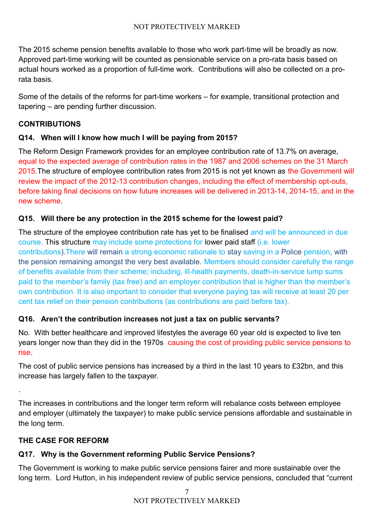The 2015 scheme pension benefits available to those who work part-time will be broadly as now. Approved part-time working will be counted as pensionable service on a pro-rata basis based on actual hours worked as a proportion of full-time work. Contributions will also be collected on a prorata basis.

Some of the details of the reforms for part-time workers – for example, transitional protection and tapering – are pending further discussion.

# **CONTRIBUTIONS**

# **Q14. When will I know how much I will be paying from 2015?**

The Reform Design Framework provides for an employee contribution rate of 13.7% on average, equal to the expected average of contribution rates in the 1987 and 2006 schemes on the 31 March 2015. The structure of employee contribution rates from 2015 is not yet known as the Government will review the impact of the 2012-13 contribution changes, including the effect of membership opt-outs, before taking final decisions on how future increases will be delivered in 2013-14, 2014-15, and in the new scheme.

# **Q15. Will there be any protection in the 2015 scheme for the lowest paid?**

The structure of the employee contribution rate has yet to be finalised and will be announced in due course. This structure may include some protections for lower paid staff (i.e. lower contributions).There will remain a strong economic rationale to stay saving in a Police pension, with the pension remaining amongst the very best available. Members should consider carefully the range of benefits available from their scheme; including, ill-health payments, death-in-service lump sums paid to the member's family (tax free) and an employer contribution that is higher than the member's own contribution. It is also important to consider that everyone paying tax will receive at least 20 per cent tax relief on their pension contributions (as contributions are paid before tax).

# **Q16. Aren't the contribution increases not just a tax on public servants?**

No. With better healthcare and improved lifestyles the average 60 year old is expected to live ten years longer now than they did in the 1970s causing the cost of providing public service pensions to rise.

The cost of public service pensions has increased by a third in the last 10 years to £32bn, and this increase has largely fallen to the taxpayer.

The increases in contributions and the longer term reform will rebalance costs between employee and employer (ultimately the taxpayer) to make public service pensions affordable and sustainable in the long term.

# **THE CASE FOR REFORM**

.

# **Q17. Why is the Government reforming Public Service Pensions?**

The Government is working to make public service pensions fairer and more sustainable over the long term. Lord Hutton, in his independent review of public service pensions, concluded that "current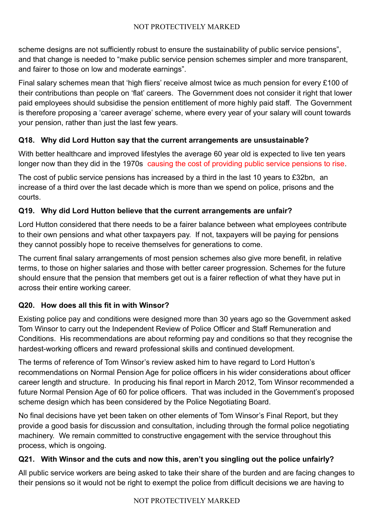scheme designs are not sufficiently robust to ensure the sustainability of public service pensions", and that change is needed to "make public service pension schemes simpler and more transparent, and fairer to those on low and moderate earnings".

Final salary schemes mean that 'high fliers' receive almost twice as much pension for every £100 of their contributions than people on 'flat' careers. The Government does not consider it right that lower paid employees should subsidise the pension entitlement of more highly paid staff. The Government is therefore proposing a 'career average' scheme, where every year of your salary will count towards your pension, rather than just the last few years.

# **Q18. Why did Lord Hutton say that the current arrangements are unsustainable?**

With better healthcare and improved lifestyles the average 60 year old is expected to live ten years longer now than they did in the 1970s causing the cost of providing public service pensions to rise.

The cost of public service pensions has increased by a third in the last 10 years to £32bn, an increase of a third over the last decade which is more than we spend on police, prisons and the courts.

#### **Q19. Why did Lord Hutton believe that the current arrangements are unfair?**

Lord Hutton considered that there needs to be a fairer balance between what employees contribute to their own pensions and what other taxpayers pay. If not, taxpayers will be paying for pensions they cannot possibly hope to receive themselves for generations to come.

The current final salary arrangements of most pension schemes also give more benefit, in relative terms, to those on higher salaries and those with better career progression. Schemes for the future should ensure that the pension that members get out is a fairer reflection of what they have put in across their entire working career.

#### **Q20. How does all this fit in with Winsor?**

Existing police pay and conditions were designed more than 30 years ago so the Government asked Tom Winsor to carry out the Independent Review of Police Officer and Staff Remuneration and Conditions. His recommendations are about reforming pay and conditions so that they recognise the hardest-working officers and reward professional skills and continued development.

The terms of reference of Tom Winsor's review asked him to have regard to Lord Hutton's recommendations on Normal Pension Age for police officers in his wider considerations about officer career length and structure. In producing his final report in March 2012, Tom Winsor recommended a future Normal Pension Age of 60 for police officers. That was included in the Government's proposed scheme design which has been considered by the Police Negotiating Board.

No final decisions have yet been taken on other elements of Tom Winsor's Final Report, but they provide a good basis for discussion and consultation, including through the formal police negotiating machinery. We remain committed to constructive engagement with the service throughout this process, which is ongoing.

#### **Q21. With Winsor and the cuts and now this, aren't you singling out the police unfairly?**

All public service workers are being asked to take their share of the burden and are facing changes to their pensions so it would not be right to exempt the police from difficult decisions we are having to